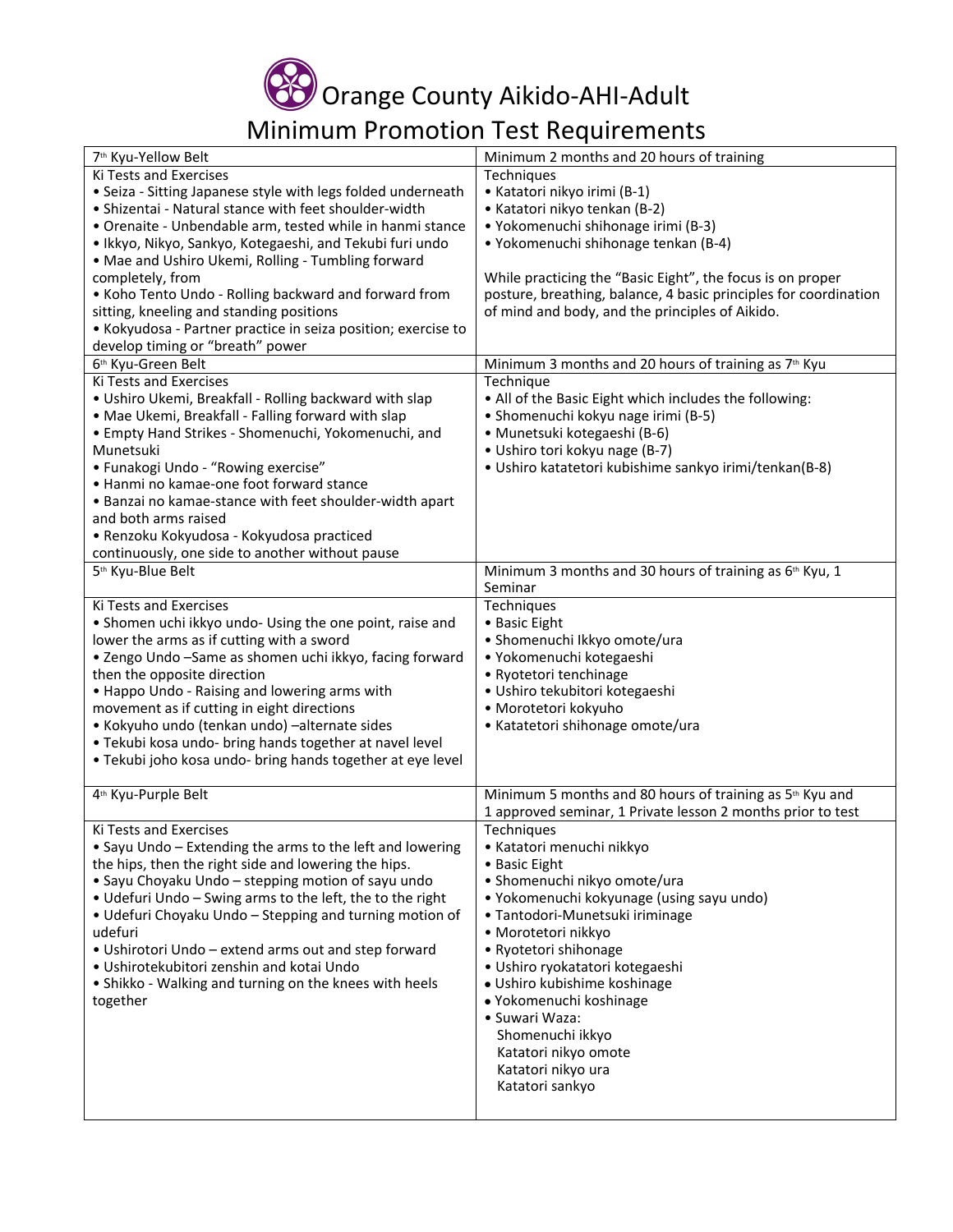

## Minimum Promotion Test Requirements

| 7 <sup>th</sup> Kyu-Yellow Belt                               | Minimum 2 months and 20 hours of training                            |
|---------------------------------------------------------------|----------------------------------------------------------------------|
| Ki Tests and Exercises                                        | Techniques                                                           |
| • Seiza - Sitting Japanese style with legs folded underneath  | • Katatori nikyo irimi (B-1)                                         |
| • Shizentai - Natural stance with feet shoulder-width         | • Katatori nikyo tenkan (B-2)                                        |
| · Orenaite - Unbendable arm, tested while in hanmi stance     | • Yokomenuchi shihonage irimi (B-3)                                  |
| · Ikkyo, Nikyo, Sankyo, Kotegaeshi, and Tekubi furi undo      | • Yokomenuchi shihonage tenkan (B-4)                                 |
| • Mae and Ushiro Ukemi, Rolling - Tumbling forward            |                                                                      |
| completely, from                                              | While practicing the "Basic Eight", the focus is on proper           |
| • Koho Tento Undo - Rolling backward and forward from         | posture, breathing, balance, 4 basic principles for coordination     |
| sitting, kneeling and standing positions                      | of mind and body, and the principles of Aikido.                      |
| • Kokyudosa - Partner practice in seiza position; exercise to |                                                                      |
| develop timing or "breath" power                              |                                                                      |
| 6 <sup>th</sup> Kyu-Green Belt                                | Minimum 3 months and 20 hours of training as 7 <sup>th</sup> Kyu     |
| Ki Tests and Exercises                                        |                                                                      |
|                                                               | Technique                                                            |
| • Ushiro Ukemi, Breakfall - Rolling backward with slap        | . All of the Basic Eight which includes the following:               |
| • Mae Ukemi, Breakfall - Falling forward with slap            | • Shomenuchi kokyu nage irimi (B-5)                                  |
| • Empty Hand Strikes - Shomenuchi, Yokomenuchi, and           | • Munetsuki kotegaeshi (B-6)                                         |
| Munetsuki                                                     | • Ushiro tori kokyu nage (B-7)                                       |
| • Funakogi Undo - "Rowing exercise"                           | · Ushiro katatetori kubishime sankyo irimi/tenkan(B-8)               |
| • Hanmi no kamae-one foot forward stance                      |                                                                      |
| • Banzai no kamae-stance with feet shoulder-width apart       |                                                                      |
| and both arms raised                                          |                                                                      |
| · Renzoku Kokyudosa - Kokyudosa practiced                     |                                                                      |
| continuously, one side to another without pause               |                                                                      |
| 5 <sup>th</sup> Kyu-Blue Belt                                 | Minimum 3 months and 30 hours of training as 6 <sup>th</sup> Kyu, 1  |
|                                                               | Seminar                                                              |
| Ki Tests and Exercises                                        | Techniques                                                           |
| • Shomen uchi ikkyo undo- Using the one point, raise and      | • Basic Eight                                                        |
| lower the arms as if cutting with a sword                     | · Shomenuchi Ikkyo omote/ura                                         |
| • Zengo Undo -Same as shomen uchi ikkyo, facing forward       | · Yokomenuchi kotegaeshi                                             |
| then the opposite direction                                   | • Ryotetori tenchinage                                               |
| . Happo Undo - Raising and lowering arms with                 | · Ushiro tekubitori kotegaeshi                                       |
| movement as if cutting in eight directions                    | · Morotetori kokyuho                                                 |
| · Kokyuho undo (tenkan undo) -alternate sides                 | • Katatetori shihonage omote/ura                                     |
| . Tekubi kosa undo- bring hands together at navel level       |                                                                      |
| . Tekubi joho kosa undo- bring hands together at eye level    |                                                                      |
|                                                               |                                                                      |
| 4 <sup>th</sup> Kyu-Purple Belt                               | Minimum 5 months and 80 hours of training as 5 <sup>th</sup> Kyu and |
|                                                               | 1 approved seminar, 1 Private lesson 2 months prior to test          |
| Ki Tests and Exercises                                        | Techniques                                                           |
| • Sayu Undo - Extending the arms to the left and lowering     | • Katatori menuchi nikkyo                                            |
| the hips, then the right side and lowering the hips.          | • Basic Eight                                                        |
| • Sayu Choyaku Undo - stepping motion of sayu undo            | · Shomenuchi nikyo omote/ura                                         |
| • Udefuri Undo - Swing arms to the left, the to the right     | • Yokomenuchi kokyunage (using sayu undo)                            |
| • Udefuri Choyaku Undo - Stepping and turning motion of       | · Tantodori-Munetsuki iriminage                                      |
| udefuri                                                       | · Morotetori nikkyo                                                  |
| • Ushirotori Undo – extend arms out and step forward          | • Ryotetori shihonage                                                |
| · Ushirotekubitori zenshin and kotai Undo                     | · Ushiro ryokatatori kotegaeshi                                      |
|                                                               | · Ushiro kubishime koshinage                                         |
| • Shikko - Walking and turning on the knees with heels        |                                                                      |
| together                                                      | · Yokomenuchi koshinage                                              |
|                                                               | • Suwari Waza:                                                       |
|                                                               | Shomenuchi ikkyo                                                     |
|                                                               | Katatori nikyo omote                                                 |
|                                                               | Katatori nikyo ura                                                   |
|                                                               | Katatori sankyo                                                      |
|                                                               |                                                                      |
|                                                               |                                                                      |